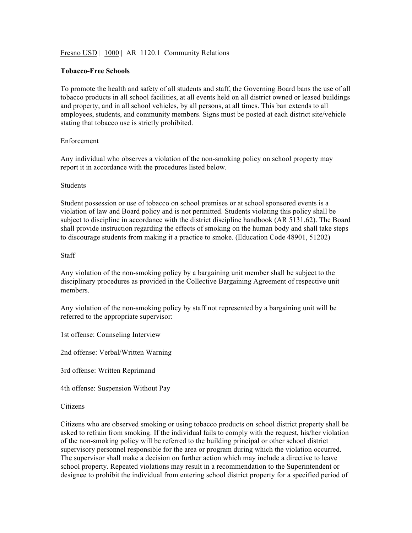# Fresno USD | 1000 | AR 1120.1 Community Relations

### **Tobacco-Free Schools**

To promote the health and safety of all students and staff, the Governing Board bans the use of all tobacco products in all school facilities, at all events held on all district owned or leased buildings and property, and in all school vehicles, by all persons, at all times. This ban extends to all employees, students, and community members. Signs must be posted at each district site/vehicle stating that tobacco use is strictly prohibited.

## Enforcement

Any individual who observes a violation of the non-smoking policy on school property may report it in accordance with the procedures listed below.

#### **Students**

Student possession or use of tobacco on school premises or at school sponsored events is a violation of law and Board policy and is not permitted. Students violating this policy shall be subject to discipline in accordance with the district discipline handbook (AR 5131.62). The Board shall provide instruction regarding the effects of smoking on the human body and shall take steps to discourage students from making it a practice to smoke. (Education Code 48901, 51202)

## Staff

Any violation of the non-smoking policy by a bargaining unit member shall be subject to the disciplinary procedures as provided in the Collective Bargaining Agreement of respective unit members.

Any violation of the non-smoking policy by staff not represented by a bargaining unit will be referred to the appropriate supervisor:

1st offense: Counseling Interview

2nd offense: Verbal/Written Warning

3rd offense: Written Reprimand

4th offense: Suspension Without Pay

#### Citizens

Citizens who are observed smoking or using tobacco products on school district property shall be asked to refrain from smoking. If the individual fails to comply with the request, his/her violation of the non-smoking policy will be referred to the building principal or other school district supervisory personnel responsible for the area or program during which the violation occurred. The supervisor shall make a decision on further action which may include a directive to leave school property. Repeated violations may result in a recommendation to the Superintendent or designee to prohibit the individual from entering school district property for a specified period of